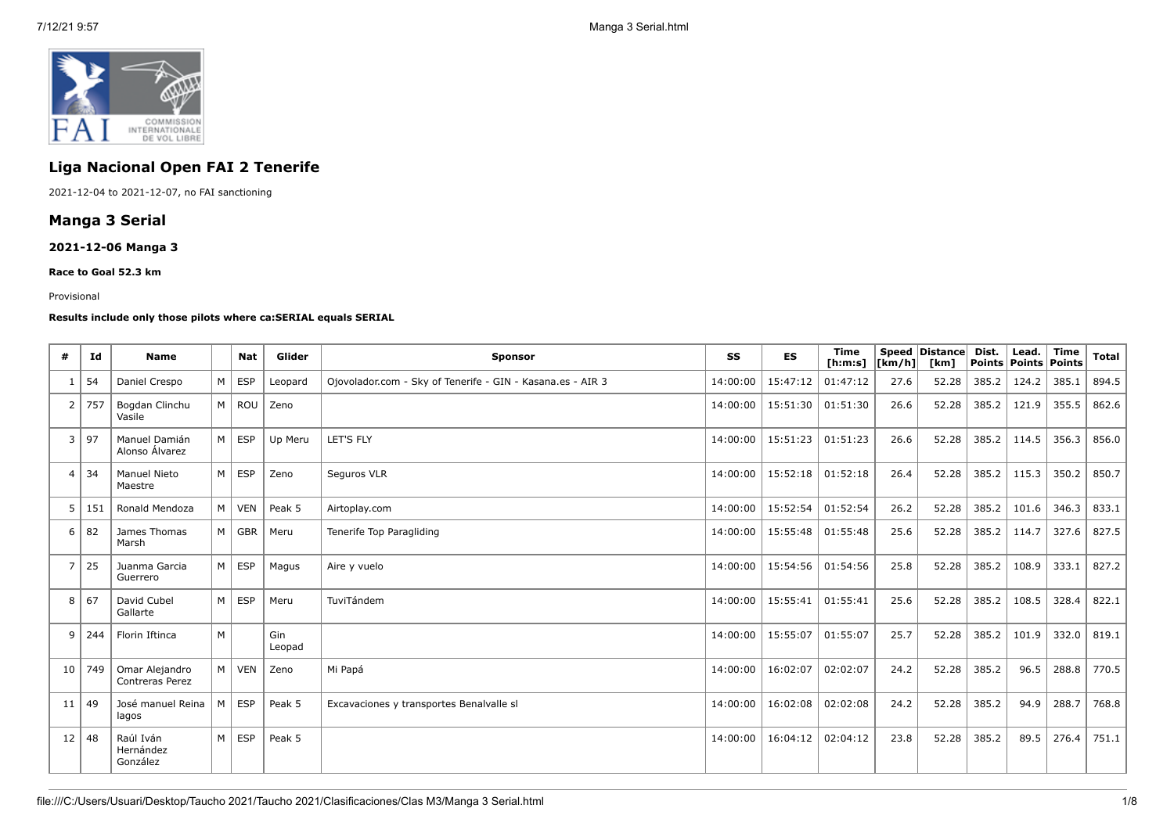

# **Liga Nacional Open FAI 2 Tenerife**

2021-12-04 to 2021-12-07, no FAI sanctioning

## **Manga 3 Serial**

## **2021-12-06 Manga 3**

**Race to Goal 52.3 km**

#### Provisional

#### **Results include only those pilots where ca:SERIAL equals SERIAL**

| #              | Id         | <b>Name</b>                        |                | <b>Nat</b> | Glider        | <b>Sponsor</b>                                             | SS       | <b>ES</b> | Time<br>[ <b>h</b> : <b>m</b> : <b>s</b> ] | $\lfloor \frac{1}{2} \rfloor$ | Speed Distance<br>[km] | Dist.<br>Points   Points   Points | Lead. | Time  | Total |
|----------------|------------|------------------------------------|----------------|------------|---------------|------------------------------------------------------------|----------|-----------|--------------------------------------------|-------------------------------|------------------------|-----------------------------------|-------|-------|-------|
|                | 54         | Daniel Crespo                      | M              | <b>ESP</b> | Leopard       | Ojovolador.com - Sky of Tenerife - GIN - Kasana.es - AIR 3 | 14:00:00 | 15:47:12  | 01:47:12                                   | 27.6                          | 52.28                  | 385.2                             | 124.2 | 385.1 | 894.5 |
| 2              | 757        | Bogdan Clinchu<br>Vasile           | M <sub>1</sub> | ROU        | Zeno          |                                                            | 14:00:00 | 15:51:30  | 01:51:30                                   | 26.6                          | 52.28                  | 385.2                             | 121.9 | 355.5 | 862.6 |
| 3              | 97         | Manuel Damián<br>Alonso Álvarez    | M              | <b>ESP</b> | Up Meru       | <b>LET'S FLY</b>                                           | 14:00:00 | 15:51:23  | 01:51:23                                   | 26.6                          | 52.28                  | 385.2                             | 114.5 | 356.3 | 856.0 |
| 4              | $\vert$ 34 | Manuel Nieto<br>Maestre            | M              | <b>ESP</b> | Zeno          | Seguros VLR                                                | 14:00:00 | 15:52:18  | 01:52:18                                   | 26.4                          | 52.28                  | 385.2                             | 115.3 | 350.2 | 850.7 |
| 5              | 151        | Ronald Mendoza                     | M              | <b>VEN</b> | Peak 5        | Airtoplay.com                                              | 14:00:00 | 15:52:54  | 01:52:54                                   | 26.2                          | 52.28                  | 385.2                             | 101.6 | 346.3 | 833.1 |
| 6              | 82         | James Thomas<br>Marsh              | M              | GBR        | Meru          | Tenerife Top Paragliding                                   | 14:00:00 | 15:55:48  | 01:55:48                                   | 25.6                          | 52.28                  | 385.2                             | 114.7 | 327.6 | 827.5 |
| $\overline{7}$ | 25         | Juanma Garcia<br>Guerrero          | M              | <b>ESP</b> | Magus         | Aire y vuelo                                               | 14:00:00 | 15:54:56  | 01:54:56                                   | 25.8                          | 52.28                  | 385.2                             | 108.9 | 333.1 | 827.2 |
| 8              | 67         | David Cubel<br>Gallarte            | M              | <b>ESP</b> | Meru          | TuviTándem                                                 | 14:00:00 | 15:55:41  | 01:55:41                                   | 25.6                          | 52.28                  | 385.2                             | 108.5 | 328.4 | 822.1 |
| 9              | 244        | Florin Iftinca                     | M              |            | Gin<br>Leopad |                                                            | 14:00:00 | 15:55:07  | 01:55:07                                   | 25.7                          | 52.28                  | 385.2                             | 101.9 | 332.0 | 819.1 |
| 10             | 749        | Omar Alejandro<br>Contreras Perez  | M              | <b>VEN</b> | Zeno          | Mi Papá                                                    | 14:00:00 | 16:02:07  | 02:02:07                                   | 24.2                          | 52.28                  | 385.2                             | 96.5  | 288.8 | 770.5 |
| 11             | 49         | José manuel Reina<br>lagos         | M              | <b>ESP</b> | Peak 5        | Excavaciones y transportes Benalvalle sl                   | 14:00:00 | 16:02:08  | 02:02:08                                   | 24.2                          | 52.28                  | 385.2                             | 94.9  | 288.7 | 768.8 |
| 12             | 48         | Raúl Iván<br>Hernández<br>González | M              | ESP        | Peak 5        |                                                            | 14:00:00 | 16:04:12  | 02:04:12                                   | 23.8                          | 52.28                  | 385.2                             | 89.5  | 276.4 | 751.1 |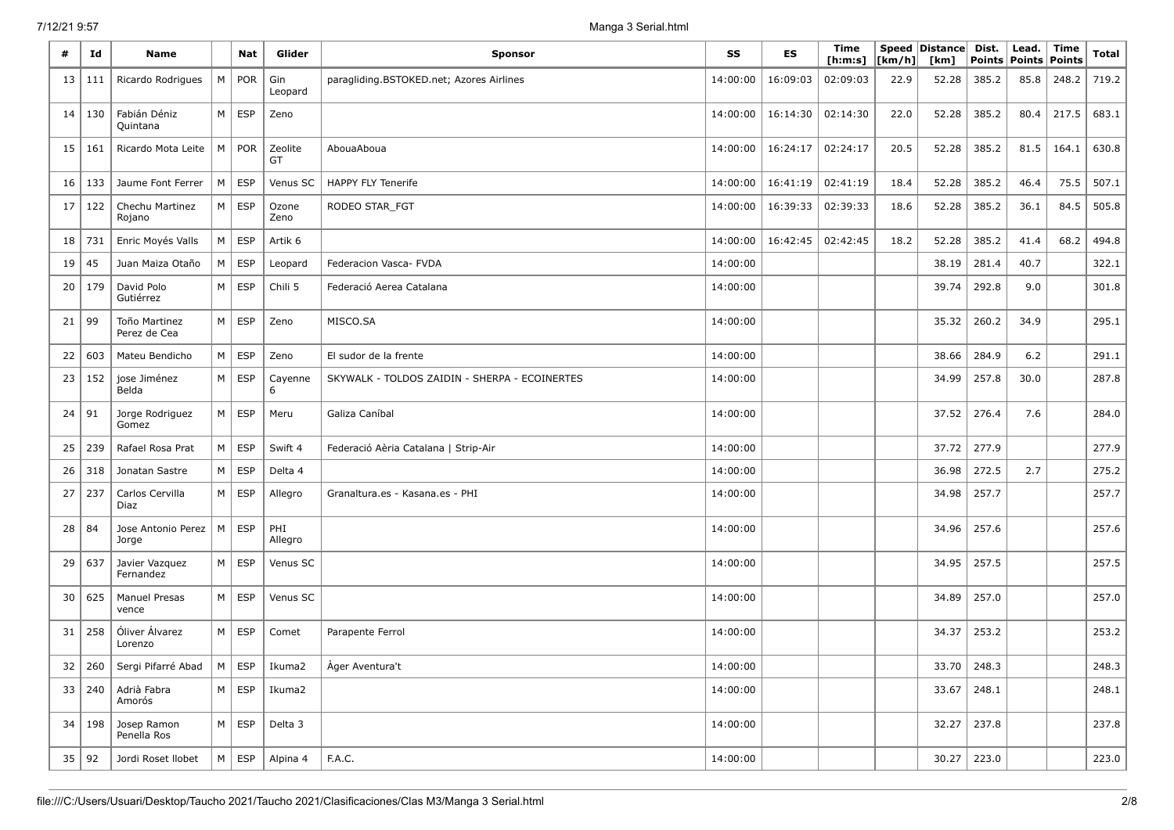| #  | Id  | <b>Name</b>                   |   | <b>Nat</b> | Glider         | <b>Sponsor</b>                                | SS       | ES       | Time<br>[ <b>h</b> : <b>m</b> : <b>s</b> ] | [km/h] | Speed Distance<br>[km] | Dist.<br>Points | Lead.<br>Points | Time<br>Points | <b>Total</b> |
|----|-----|-------------------------------|---|------------|----------------|-----------------------------------------------|----------|----------|--------------------------------------------|--------|------------------------|-----------------|-----------------|----------------|--------------|
| 13 | 111 | Ricardo Rodrigues             | M | POR        | Gin<br>Leopard | paragliding.BSTOKED.net; Azores Airlines      | 14:00:00 | 16:09:03 | 02:09:03                                   | 22.9   | 52.28                  | 385.2           | 85.8            | 248.2          | 719.2        |
| 14 | 130 | Fabián Déniz<br>Quintana      | M | ESP        | Zeno           |                                               | 14:00:00 | 16:14:30 | 02:14:30                                   | 22.0   | 52.28                  | 385.2           | 80.4            | 217.5          | 683.1        |
| 15 | 161 | Ricardo Mota Leite            | M | POR        | Zeolite<br>GT  | AbouaAboua                                    | 14:00:00 | 16:24:17 | 02:24:17                                   | 20.5   | 52.28                  | 385.2           | 81.5            | 164.1          | 630.8        |
| 16 | 133 | Jaume Font Ferrer             | M | <b>ESP</b> | Venus SC       | <b>HAPPY FLY Tenerife</b>                     | 14:00:00 | 16:41:19 | 02:41:19                                   | 18.4   | 52.28                  | 385.2           | 46.4            | 75.5           | 507.1        |
| 17 | 122 | Chechu Martinez<br>Rojano     | M | <b>ESP</b> | Ozone<br>Zeno  | RODEO STAR_FGT                                | 14:00:00 | 16:39:33 | 02:39:33                                   | 18.6   | 52.28                  | 385.2           | 36.1            | 84.5           | 505.8        |
| 18 | 731 | Enric Moyés Valls             | M | <b>ESP</b> | Artik 6        |                                               | 14:00:00 | 16:42:45 | 02:42:45                                   | 18.2   | 52.28                  | 385.2           | 41.4            | 68.2           | 494.8        |
| 19 | 45  | Juan Maiza Otaño              | M | <b>ESP</b> | Leopard        | Federacion Vasca- FVDA                        | 14:00:00 |          |                                            |        | 38.19                  | 281.4           | 40.7            |                | 322.1        |
| 20 | 179 | David Polo<br>Gutiérrez       | M | <b>ESP</b> | Chili 5        | Federació Aerea Catalana                      | 14:00:00 |          |                                            |        | 39.74                  | 292.8           | 9.0             |                | 301.8        |
| 21 | 99  | Toño Martinez<br>Perez de Cea | M | <b>ESP</b> | Zeno           | MISCO.SA                                      | 14:00:00 |          |                                            |        | 35.32                  | 260.2           | 34.9            |                | 295.1        |
| 22 | 603 | Mateu Bendicho                | M | <b>ESP</b> | Zeno           | El sudor de la frente                         | 14:00:00 |          |                                            |        | 38.66                  | 284.9           | 6.2             |                | 291.1        |
| 23 | 152 | jose Jiménez<br>Belda         | M | <b>ESP</b> | Cayenne<br>6   | SKYWALK - TOLDOS ZAIDIN - SHERPA - ECOINERTES | 14:00:00 |          |                                            |        | 34.99                  | 257.8           | 30.0            |                | 287.8        |
| 24 | 91  | Jorge Rodriguez<br>Gomez      | M | <b>ESP</b> | Meru           | Galiza Caníbal                                | 14:00:00 |          |                                            |        | 37.52                  | 276.4           | 7.6             |                | 284.0        |
| 25 | 239 | Rafael Rosa Prat              | M | <b>ESP</b> | Swift 4        | Federació Aèria Catalana   Strip-Air          | 14:00:00 |          |                                            |        | 37.72                  | 277.9           |                 |                | 277.9        |
| 26 | 318 | Jonatan Sastre                | M | <b>ESP</b> | Delta 4        |                                               | 14:00:00 |          |                                            |        | 36.98                  | 272.5           | 2.7             |                | 275.2        |
| 27 | 237 | Carlos Cervilla<br>Diaz       | M | <b>ESP</b> | Allegro        | Granaltura.es - Kasana.es - PHI               | 14:00:00 |          |                                            |        | 34.98                  | 257.7           |                 |                | 257.7        |
| 28 | 84  | Jose Antonio Perez<br>Jorge   | M | <b>ESP</b> | PHI<br>Allegro |                                               | 14:00:00 |          |                                            |        | 34.96                  | 257.6           |                 |                | 257.6        |
| 29 | 637 | Javier Vazquez<br>Fernandez   | M | <b>ESP</b> | Venus SC       |                                               | 14:00:00 |          |                                            |        | 34.95                  | 257.5           |                 |                | 257.5        |
| 30 | 625 | <b>Manuel Presas</b><br>vence | M | <b>ESP</b> | Venus SC       |                                               | 14:00:00 |          |                                            |        | 34.89                  | 257.0           |                 |                | 257.0        |
| 31 | 258 | Óliver Álvarez<br>Lorenzo     | M | ESP        | Comet          | Parapente Ferrol                              | 14:00:00 |          |                                            |        | 34.37                  | 253.2           |                 |                | 253.2        |
| 32 | 260 | Sergi Pifarré Abad            | M | <b>ESP</b> | Ikuma2         | Àger Aventura't                               | 14:00:00 |          |                                            |        | 33.70                  | 248.3           |                 |                | 248.3        |
| 33 | 240 | Adrià Fabra<br>Amorós         | M | <b>ESP</b> | Ikuma2         |                                               | 14:00:00 |          |                                            |        | 33.67                  | 248.1           |                 |                | 248.1        |
| 34 | 198 | Josep Ramon<br>Penella Ros    | M | <b>ESP</b> | Delta 3        |                                               | 14:00:00 |          |                                            |        | 32.27                  | 237.8           |                 |                | 237.8        |
| 35 | 92  | Jordi Roset Ilobet            | M | ESP        | Alpina 4       | F.A.C.                                        | 14:00:00 |          |                                            |        | 30.27                  | 223.0           |                 |                | 223.0        |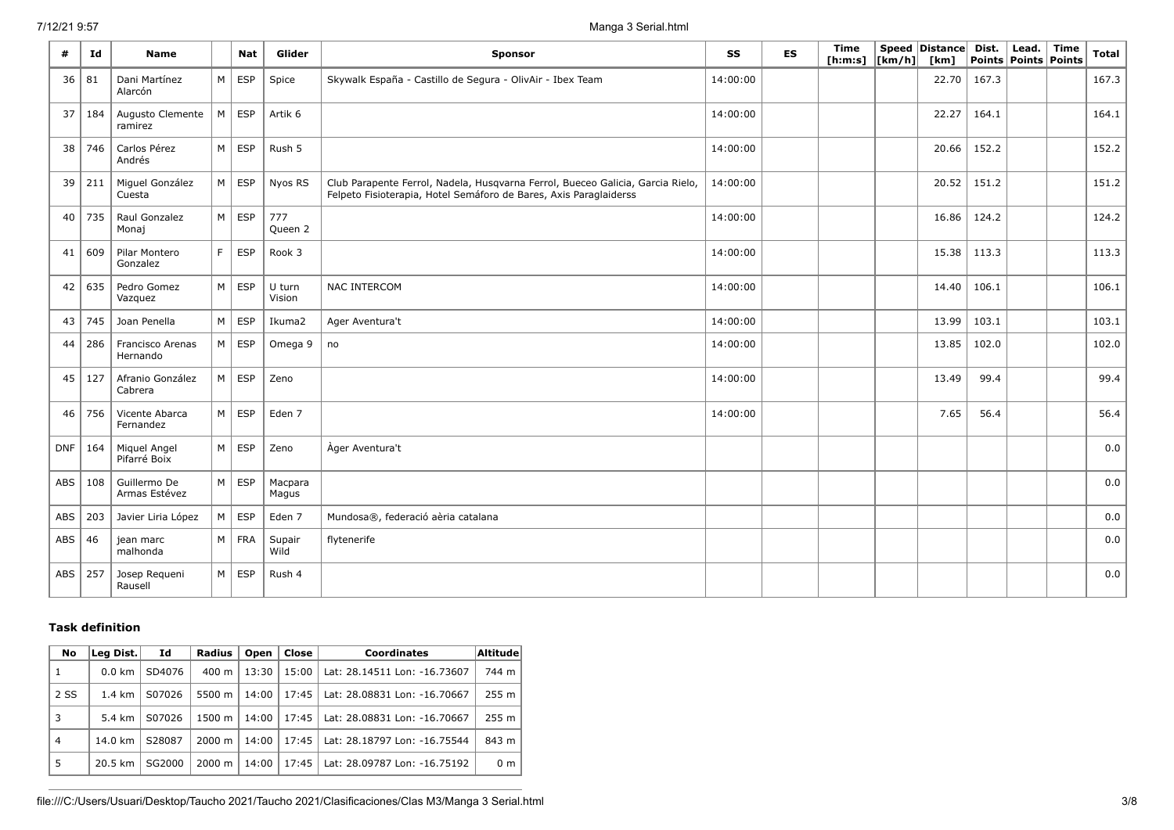| #          | Ιd  | <b>Name</b>                   |                | <b>Nat</b> | Glider           | <b>Sponsor</b>                                                                                                                                      | SS       | <b>ES</b> | Time<br>[ h: m: s] | $\lfloor \lfloor km/h \rfloor \rfloor$ | Speed Distance<br>[km] | Dist. | Lead.<br>Points   Points   Points | Time | <b>Total</b> |
|------------|-----|-------------------------------|----------------|------------|------------------|-----------------------------------------------------------------------------------------------------------------------------------------------------|----------|-----------|--------------------|----------------------------------------|------------------------|-------|-----------------------------------|------|--------------|
| 36         | 81  | Dani Martínez<br>Alarcón      | M              | <b>ESP</b> | Spice            | Skywalk España - Castillo de Segura - OlivAir - Ibex Team                                                                                           | 14:00:00 |           |                    |                                        | 22.70                  | 167.3 |                                   |      | 167.3        |
| 37         | 184 | Augusto Clemente<br>ramirez   | M              | ESP        | Artik 6          |                                                                                                                                                     | 14:00:00 |           |                    |                                        | 22.27                  | 164.1 |                                   |      | 164.1        |
| 38         | 746 | Carlos Pérez<br>Andrés        | M              | <b>ESP</b> | Rush 5           |                                                                                                                                                     | 14:00:00 |           |                    |                                        | 20.66                  | 152.2 |                                   |      | 152.2        |
| 39         | 211 | Miguel González<br>Cuesta     | M              | <b>ESP</b> | Nyos RS          | Club Parapente Ferrol, Nadela, Husqvarna Ferrol, Bueceo Galicia, Garcia Rielo,<br>Felpeto Fisioterapia, Hotel Semáforo de Bares, Axis Paraglaiderss | 14:00:00 |           |                    |                                        | 20.52                  | 151.2 |                                   |      | 151.2        |
| 40         | 735 | Raul Gonzalez<br>Monaj        | M              | <b>ESP</b> | 777<br>Queen 2   |                                                                                                                                                     | 14:00:00 |           |                    |                                        | 16.86                  | 124.2 |                                   |      | 124.2        |
| 41         | 609 | Pilar Montero<br>Gonzalez     | F.             | <b>ESP</b> | Rook 3           |                                                                                                                                                     | 14:00:00 |           |                    |                                        | 15.38                  | 113.3 |                                   |      | 113.3        |
| 42         | 635 | Pedro Gomez<br>Vazquez        | M              | <b>ESP</b> | U turn<br>Vision | <b>NAC INTERCOM</b>                                                                                                                                 | 14:00:00 |           |                    |                                        | 14.40                  | 106.1 |                                   |      | 106.1        |
| 43         | 745 | Joan Penella                  | M              | <b>ESP</b> | Ikuma2           | Ager Aventura't                                                                                                                                     | 14:00:00 |           |                    |                                        | 13.99                  | 103.1 |                                   |      | 103.1        |
| 44         | 286 | Francisco Arenas<br>Hernando  | M              | <b>ESP</b> | Omega 9          | no                                                                                                                                                  | 14:00:00 |           |                    |                                        | 13.85                  | 102.0 |                                   |      | 102.0        |
| 45         | 127 | Afranio González<br>Cabrera   | M              | ESP        | Zeno             |                                                                                                                                                     | 14:00:00 |           |                    |                                        | 13.49                  | 99.4  |                                   |      | 99.4         |
| 46         | 756 | Vicente Abarca<br>Fernandez   | M              | <b>ESP</b> | Eden 7           |                                                                                                                                                     | 14:00:00 |           |                    |                                        | 7.65                   | 56.4  |                                   |      | 56.4         |
| <b>DNF</b> | 164 | Miquel Angel<br>Pifarré Boix  | M              | <b>ESP</b> | Zeno             | Ager Aventura't                                                                                                                                     |          |           |                    |                                        |                        |       |                                   |      | $_{0.0}$     |
| ABS        | 108 | Guillermo De<br>Armas Estévez | M              | <b>ESP</b> | Macpara<br>Magus |                                                                                                                                                     |          |           |                    |                                        |                        |       |                                   |      | 0.0          |
| ABS        | 203 | Javier Liria López            | M              | <b>ESP</b> | Eden 7           | Mundosa®, federació aèria catalana                                                                                                                  |          |           |                    |                                        |                        |       |                                   |      | 0.0          |
| ABS        | 46  | jean marc<br>malhonda         | M <sub>1</sub> | FRA        | Supair<br>Wild   | flytenerife                                                                                                                                         |          |           |                    |                                        |                        |       |                                   |      | 0.0          |
| ABS        | 257 | Josep Requeni<br>Rausell      | M              | <b>ESP</b> | Rush 4           |                                                                                                                                                     |          |           |                    |                                        |                        |       |                                   |      | 0.0          |

## **Task definition**

| No             | Leg Dist.        | Id     | Radius             | Open  | Close | <b>Coordinates</b>           | <b>Altitude</b> |
|----------------|------------------|--------|--------------------|-------|-------|------------------------------|-----------------|
| 1              | $0.0 \text{ km}$ | SD4076 | $400 \text{ m}$    | 13:30 | 15:00 | Lat: 28.14511 Lon: -16.73607 | 744 m           |
| 2 SS           | $1.4 \text{ km}$ | S07026 | 5500 m             | 14:00 | 17:45 | Lat: 28.08831 Lon: -16.70667 | 255 m           |
| 3              | 5.4 km           | S07026 | 1500 m             | 14:00 | 17:45 | Lat: 28.08831 Lon: -16.70667 | 255 m           |
| $\overline{4}$ | 14.0 km          | S28087 | $2000 \; \text{m}$ | 14:00 | 17:45 | Lat: 28.18797 Lon: -16.75544 | 843 m           |
| 5              | 20.5 km          | SG2000 | $2000 \; m$        | 14:00 | 17:45 | Lat: 28.09787 Lon: -16.75192 | 0 <sub>m</sub>  |

file:///C:/Users/Usuari/Desktop/Taucho 2021/Taucho 2021/Clasificaciones/Clas M3/Manga 3 Serial.html 3/8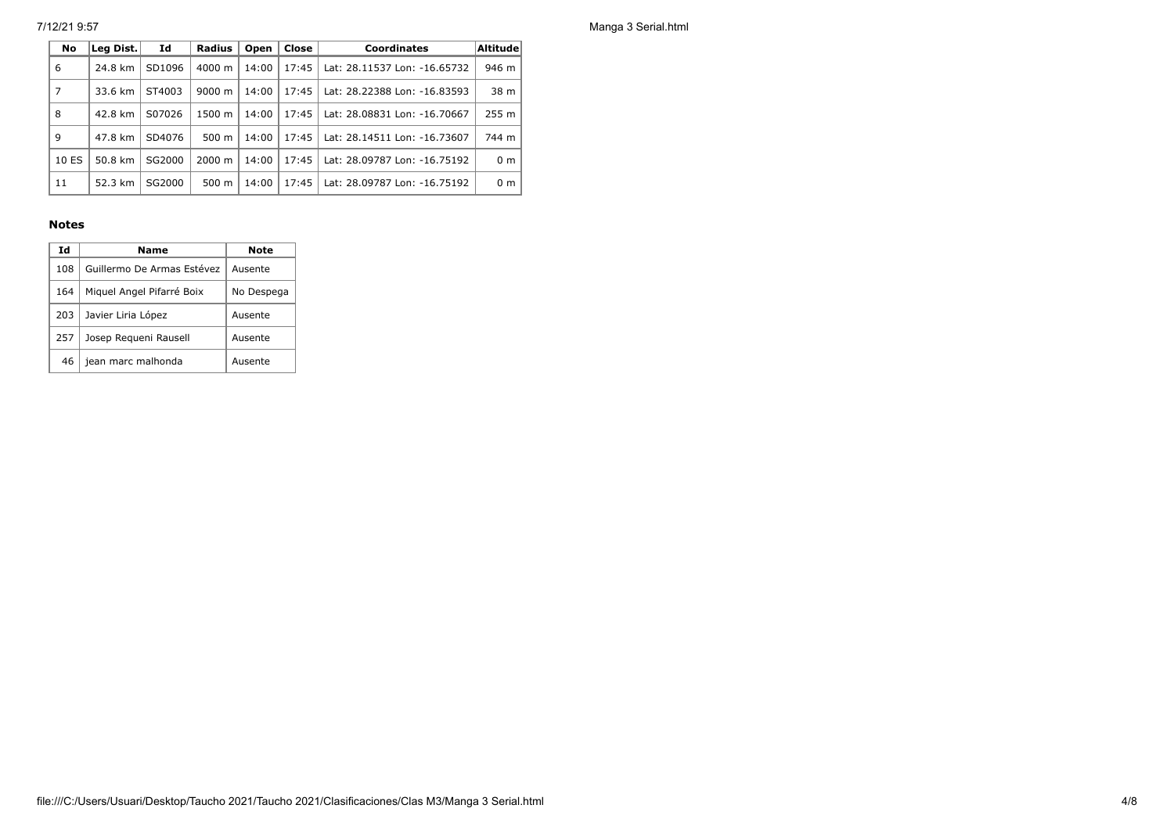7/12/21 9:57 Manga 3 Serial.html

| No    | Leg Dist. | Id     | <b>Radius</b>      | Open  | Close | <b>Coordinates</b>           | <b>Altitude</b> |
|-------|-----------|--------|--------------------|-------|-------|------------------------------|-----------------|
| 6     | 24.8 km   | SD1096 | $4000 \; \text{m}$ | 14:00 | 17:45 | Lat: 28.11537 Lon: -16.65732 | 946 m           |
| 7     | 33.6 km   | ST4003 | 9000 m             | 14:00 | 17:45 | Lat: 28.22388 Lon: -16.83593 | 38 m            |
| 8     | 42.8 km   | S07026 | 1500 m             | 14:00 | 17:45 | Lat: 28.08831 Lon: -16.70667 | 255 m           |
| 9     | 47.8 km   | SD4076 | $500 \text{ m}$    | 14:00 | 17:45 | Lat: 28.14511 Lon: -16.73607 | 744 m           |
| 10 ES | 50.8 km   | SG2000 | $2000 \; \text{m}$ | 14:00 | 17:45 | Lat: 28.09787 Lon: -16.75192 | 0 <sub>m</sub>  |
| 11    | 52.3 km   | SG2000 | $500 \text{ m}$    | 14:00 | 17:45 | Lat: 28.09787 Lon: -16.75192 | 0 <sub>m</sub>  |

### **Notes**

| Ιd  | Name                       | <b>Note</b> |
|-----|----------------------------|-------------|
| 108 | Guillermo De Armas Estévez | Ausente     |
| 164 | Miquel Angel Pifarré Boix  | No Despega  |
| 203 | Javier Liria López         | Ausente     |
| 257 | Josep Requeni Rausell      | Ausente     |
| 46  | jean marc malhonda         | Ausente     |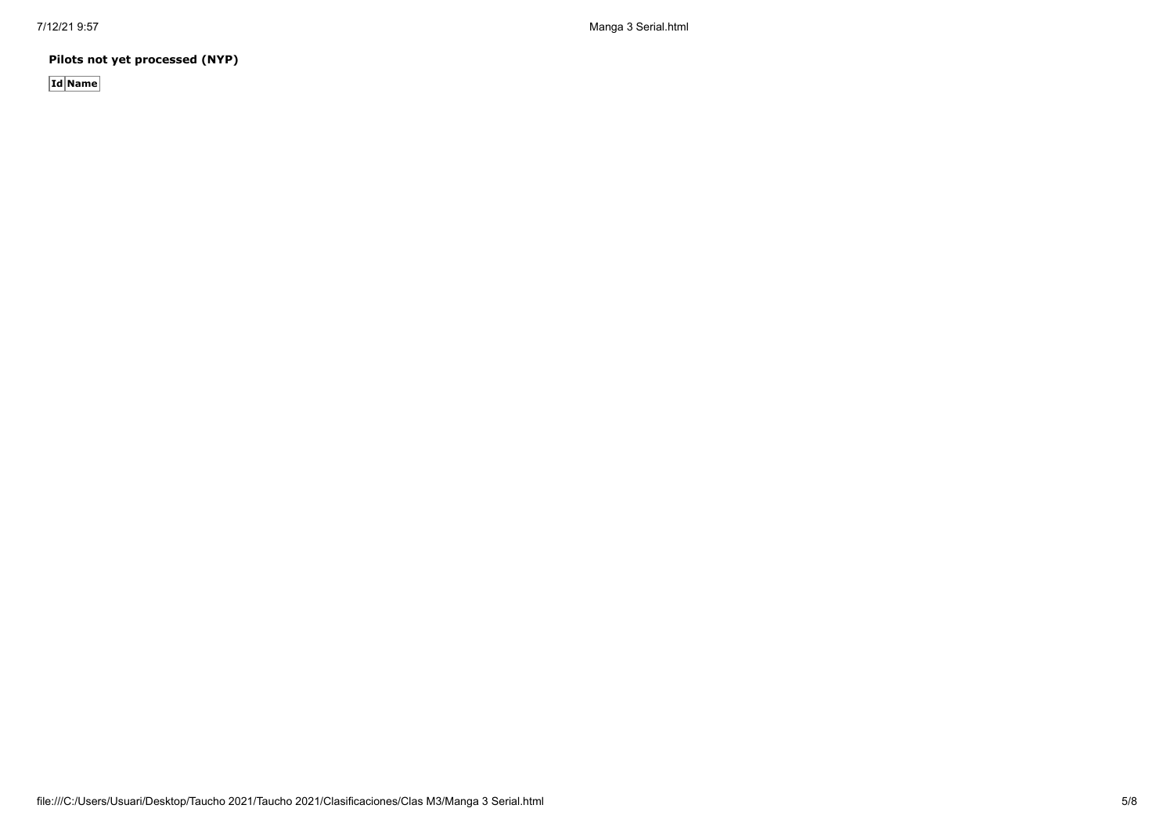7/12/21 9:57 Manga 3 Serial.html

**Pilots not yet processed (NYP)**

**Id Name**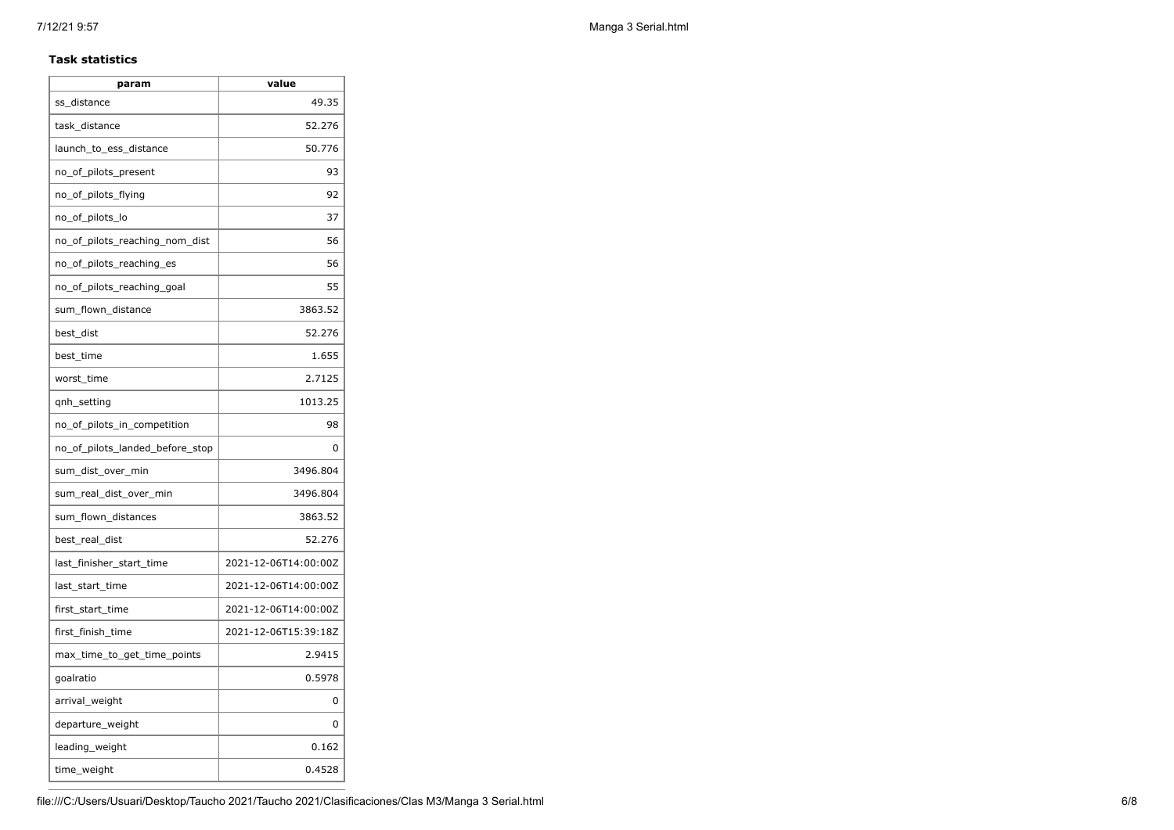#### **Task statistics**

| param                           | value                |
|---------------------------------|----------------------|
| ss_distance                     | 49.35                |
| task_distance                   | 52.276               |
| launch_to_ess_distance          | 50.776               |
| no_of_pilots_present            | 93                   |
| no_of_pilots_flying             | 92                   |
| no_of_pilots_lo                 | 37                   |
| no_of_pilots_reaching_nom_dist  | 56                   |
| no of pilots reaching es        | 56                   |
| no_of_pilots_reaching_goal      | 55                   |
| sum_flown_distance              | 3863.52              |
| best dist                       | 52.276               |
| best_time                       | 1.655                |
| worst_time                      | 2.7125               |
| qnh_setting                     | 1013.25              |
| no_of_pilots_in_competition     | 98                   |
| no_of_pilots_landed_before_stop | 0                    |
| sum_dist_over_min               | 3496.804             |
| sum_real_dist_over_min          | 3496.804             |
| sum_flown_distances             | 3863.52              |
| best_real_dist                  | 52.276               |
| last_finisher_start_time        | 2021-12-06T14:00:00Z |
| last_start_time                 | 2021-12-06T14:00:00Z |
| first_start_time                | 2021-12-06T14:00:00Z |
| first_finish_time               | 2021-12-06T15:39:18Z |
| max_time_to_get_time_points     | 2.9415               |
| goalratio                       | 0.5978               |
| arrival_weight                  | 0                    |
| departure_weight                | 0                    |
| leading_weight                  | 0.162                |
| time_weight                     | 0.4528               |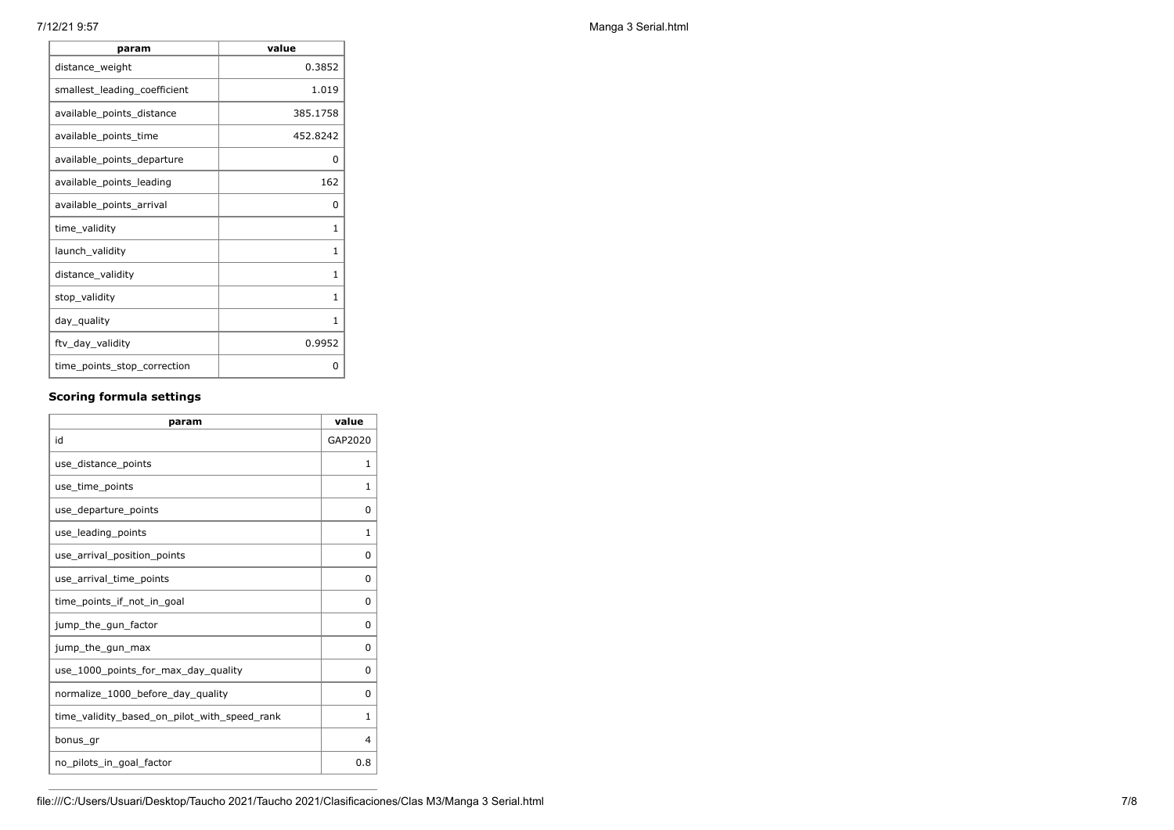| param                        | value        |
|------------------------------|--------------|
| distance_weight              | 0.3852       |
| smallest_leading_coefficient | 1.019        |
| available_points_distance    | 385.1758     |
| available_points_time        | 452.8242     |
| available_points_departure   | 0            |
| available_points_leading     | 162          |
| available_points_arrival     | 0            |
| time_validity                | $\mathbf{1}$ |
| launch_validity              | 1            |
| distance_validity            | 1            |
| stop_validity                | 1            |
| day_quality                  | 1            |
| ftv_day_validity             | 0.9952       |
| time_points_stop_correction  | 0            |

## **Scoring formula settings**

| param                                        | value        |
|----------------------------------------------|--------------|
| id                                           | GAP2020      |
| use distance points                          | 1            |
| use_time_points                              | 1            |
| use_departure_points                         | 0            |
| use_leading_points                           | $\mathbf{1}$ |
| use arrival position points                  | 0            |
| use arrival time points                      | 0            |
| time_points_if_not_in_goal                   | $\Omega$     |
| jump_the_gun_factor                          | $\Omega$     |
| jump_the_gun_max                             | $\Omega$     |
| use_1000_points_for_max_day_quality          | $\Omega$     |
| normalize_1000_before_day_quality            | 0            |
| time_validity_based_on_pilot_with_speed_rank | 1            |
| bonus gr                                     | 4            |
| no pilots in goal factor                     | 0.8          |